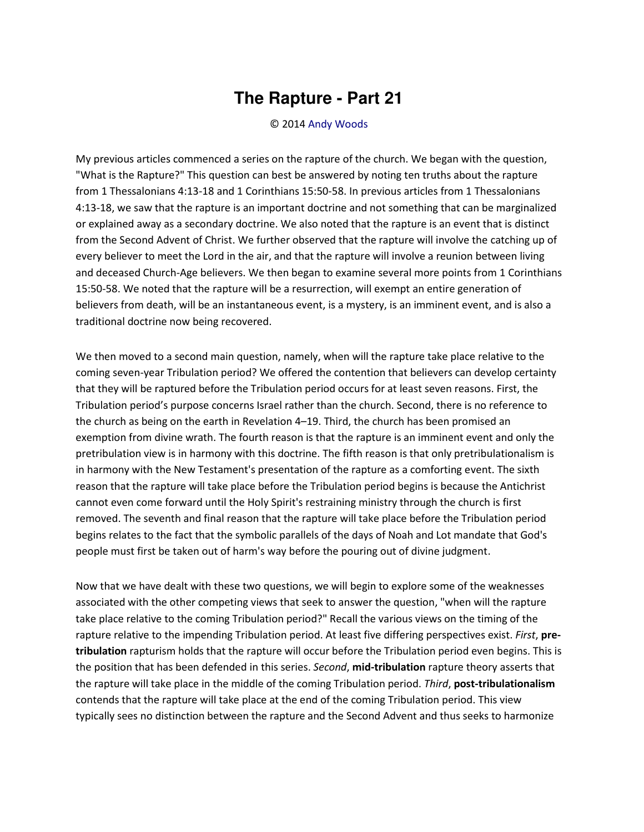## **The Rapture - Part 21**

## © 2014 [Andy Woods](http://www.spiritandtruth.org/id/aw.htm)

My previous articles commenced a series on the rapture of the church. We began with the question, "What is the Rapture?" This question can best be answered by noting ten truths about the rapture from 1 Thessalonians 4:13-18 and 1 Corinthians 15:50-58. In previous articles from 1 Thessalonians 4:13-18, we saw that the rapture is an important doctrine and not something that can be marginalized or explained away as a secondary doctrine. We also noted that the rapture is an event that is distinct from the Second Advent of Christ. We further observed that the rapture will involve the catching up of every believer to meet the Lord in the air, and that the rapture will involve a reunion between living and deceased Church-Age believers. We then began to examine several more points from 1 Corinthians 15:50-58. We noted that the rapture will be a resurrection, will exempt an entire generation of believers from death, will be an instantaneous event, is a mystery, is an imminent event, and is also a traditional doctrine now being recovered.

We then moved to a second main question, namely, when will the rapture take place relative to the coming seven-year Tribulation period? We offered the contention that believers can develop certainty that they will be raptured before the Tribulation period occurs for at least seven reasons. First, the Tribulation period's purpose concerns Israel rather than the church. Second, there is no reference to the church as being on the earth in Revelation 4–19. Third, the church has been promised an exemption from divine wrath. The fourth reason is that the rapture is an imminent event and only the pretribulation view is in harmony with this doctrine. The fifth reason is that only pretribulationalism is in harmony with the New Testament's presentation of the rapture as a comforting event. The sixth reason that the rapture will take place before the Tribulation period begins is because the Antichrist cannot even come forward until the Holy Spirit's restraining ministry through the church is first removed. The seventh and final reason that the rapture will take place before the Tribulation period begins relates to the fact that the symbolic parallels of the days of Noah and Lot mandate that God's people must first be taken out of harm's way before the pouring out of divine judgment.

Now that we have dealt with these two questions, we will begin to explore some of the weaknesses associated with the other competing views that seek to answer the question, "when will the rapture take place relative to the coming Tribulation period?" Recall the various views on the timing of the rapture relative to the impending Tribulation period. At least five differing perspectives exist. *First*, **pretribulation** rapturism holds that the rapture will occur before the Tribulation period even begins. This is the position that has been defended in this series. *Second*, **mid-tribulation** rapture theory asserts that the rapture will take place in the middle of the coming Tribulation period. *Third*, **post-tribulationalism** contends that the rapture will take place at the end of the coming Tribulation period. This view typically sees no distinction between the rapture and the Second Advent and thus seeks to harmonize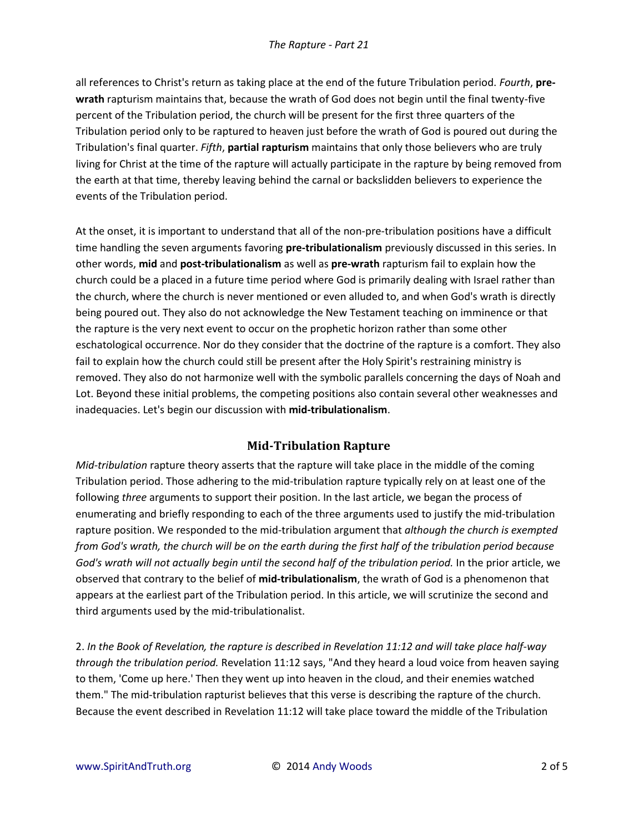all references to Christ's return as taking place at the end of the future Tribulation period. *Fourth*, **prewrath** rapturism maintains that, because the wrath of God does not begin until the final twenty-five percent of the Tribulation period, the church will be present for the first three quarters of the Tribulation period only to be raptured to heaven just before the wrath of God is poured out during the Tribulation's final quarter. *Fifth*, **partial rapturism** maintains that only those believers who are truly living for Christ at the time of the rapture will actually participate in the rapture by being removed from the earth at that time, thereby leaving behind the carnal or backslidden believers to experience the events of the Tribulation period.

At the onset, it is important to understand that all of the non-pre-tribulation positions have a difficult time handling the seven arguments favoring **pre-tribulationalism** previously discussed in this series. In other words, **mid** and **post-tribulationalism** as well as **pre-wrath** rapturism fail to explain how the church could be a placed in a future time period where God is primarily dealing with Israel rather than the church, where the church is never mentioned or even alluded to, and when God's wrath is directly being poured out. They also do not acknowledge the New Testament teaching on imminence or that the rapture is the very next event to occur on the prophetic horizon rather than some other eschatological occurrence. Nor do they consider that the doctrine of the rapture is a comfort. They also fail to explain how the church could still be present after the Holy Spirit's restraining ministry is removed. They also do not harmonize well with the symbolic parallels concerning the days of Noah and Lot. Beyond these initial problems, the competing positions also contain several other weaknesses and inadequacies. Let's begin our discussion with **mid-tribulationalism**.

## **Mid-Tribulation Rapture**

*Mid-tribulation* rapture theory asserts that the rapture will take place in the middle of the coming Tribulation period. Those adhering to the mid-tribulation rapture typically rely on at least one of the following *three* arguments to support their position. In the last article, we began the process of enumerating and briefly responding to each of the three arguments used to justify the mid-tribulation rapture position. We responded to the mid-tribulation argument that *although the church is exempted from God's wrath, the church will be on the earth during the first half of the tribulation period because God's wrath will not actually begin until the second half of the tribulation period.* In the prior article, we observed that contrary to the belief of **mid-tribulationalism**, the wrath of God is a phenomenon that appears at the earliest part of the Tribulation period. In this article, we will scrutinize the second and third arguments used by the mid-tribulationalist.

2. *In the Book of Revelation, the rapture is described in Revelation 11:12 and will take place half-way through the tribulation period.* Revelation 11:12 says, "And they heard a loud voice from heaven saying to them, 'Come up here.' Then they went up into heaven in the cloud, and their enemies watched them." The mid-tribulation rapturist believes that this verse is describing the rapture of the church. Because the event described in Revelation 11:12 will take place toward the middle of the Tribulation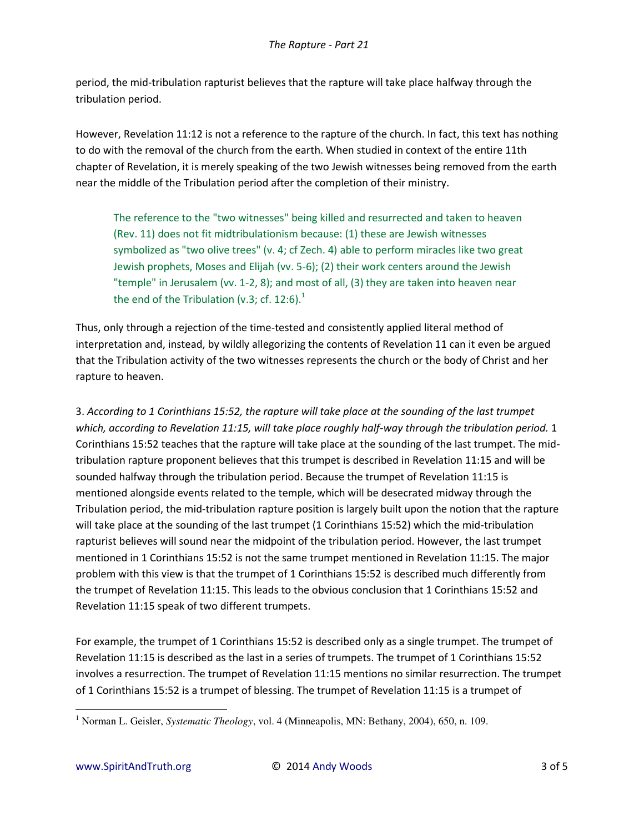period, the mid-tribulation rapturist believes that the rapture will take place halfway through the tribulation period.

However, Revelation 11:12 is not a reference to the rapture of the church. In fact, this text has nothing to do with the removal of the church from the earth. When studied in context of the entire 11th chapter of Revelation, it is merely speaking of the two Jewish witnesses being removed from the earth near the middle of the Tribulation period after the completion of their ministry.

The reference to the "two witnesses" being killed and resurrected and taken to heaven (Rev. 11) does not fit midtribulationism because: (1) these are Jewish witnesses symbolized as "two olive trees" (v. 4; cf Zech. 4) able to perform miracles like two great Jewish prophets, Moses and Elijah (vv. 5-6); (2) their work centers around the Jewish "temple" in Jerusalem (vv. 1-2, 8); and most of all, (3) they are taken into heaven near the end of the Tribulation (v.3; cf. 12:6). $1$ 

Thus, only through a rejection of the time-tested and consistently applied literal method of interpretation and, instead, by wildly allegorizing the contents of Revelation 11 can it even be argued that the Tribulation activity of the two witnesses represents the church or the body of Christ and her rapture to heaven.

3. *According to 1 Corinthians 15:52, the rapture will take place at the sounding of the last trumpet which, according to Revelation 11:15, will take place roughly half-way through the tribulation period.* 1 Corinthians 15:52 teaches that the rapture will take place at the sounding of the last trumpet. The midtribulation rapture proponent believes that this trumpet is described in Revelation 11:15 and will be sounded halfway through the tribulation period. Because the trumpet of Revelation 11:15 is mentioned alongside events related to the temple, which will be desecrated midway through the Tribulation period, the mid-tribulation rapture position is largely built upon the notion that the rapture will take place at the sounding of the last trumpet (1 Corinthians 15:52) which the mid-tribulation rapturist believes will sound near the midpoint of the tribulation period. However, the last trumpet mentioned in 1 Corinthians 15:52 is not the same trumpet mentioned in Revelation 11:15. The major problem with this view is that the trumpet of 1 Corinthians 15:52 is described much differently from the trumpet of Revelation 11:15. This leads to the obvious conclusion that 1 Corinthians 15:52 and Revelation 11:15 speak of two different trumpets.

For example, the trumpet of 1 Corinthians 15:52 is described only as a single trumpet. The trumpet of Revelation 11:15 is described as the last in a series of trumpets. The trumpet of 1 Corinthians 15:52 involves a resurrection. The trumpet of Revelation 11:15 mentions no similar resurrection. The trumpet of 1 Corinthians 15:52 is a trumpet of blessing. The trumpet of Revelation 11:15 is a trumpet of

 $\overline{a}$ 

<sup>&</sup>lt;sup>1</sup> Norman L. Geisler, *Systematic Theology*, vol. 4 (Minneapolis, MN: Bethany, 2004), 650, n. 109.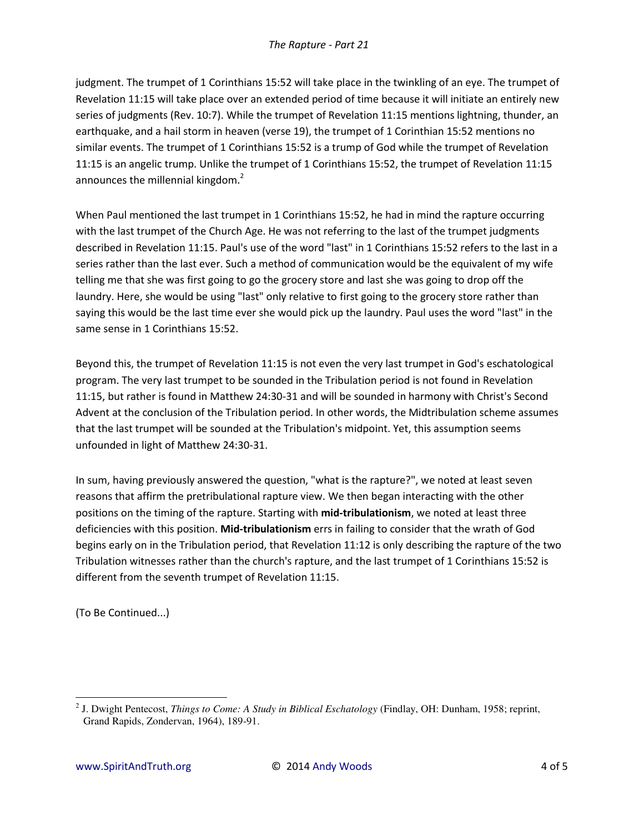judgment. The trumpet of 1 Corinthians 15:52 will take place in the twinkling of an eye. The trumpet of Revelation 11:15 will take place over an extended period of time because it will initiate an entirely new series of judgments (Rev. 10:7). While the trumpet of Revelation 11:15 mentions lightning, thunder, an earthquake, and a hail storm in heaven (verse 19), the trumpet of 1 Corinthian 15:52 mentions no similar events. The trumpet of 1 Corinthians 15:52 is a trump of God while the trumpet of Revelation 11:15 is an angelic trump. Unlike the trumpet of 1 Corinthians 15:52, the trumpet of Revelation 11:15 announces the millennial kingdom.<sup>2</sup>

When Paul mentioned the last trumpet in 1 Corinthians 15:52, he had in mind the rapture occurring with the last trumpet of the Church Age. He was not referring to the last of the trumpet judgments described in Revelation 11:15. Paul's use of the word "last" in 1 Corinthians 15:52 refers to the last in a series rather than the last ever. Such a method of communication would be the equivalent of my wife telling me that she was first going to go the grocery store and last she was going to drop off the laundry. Here, she would be using "last" only relative to first going to the grocery store rather than saying this would be the last time ever she would pick up the laundry. Paul uses the word "last" in the same sense in 1 Corinthians 15:52.

Beyond this, the trumpet of Revelation 11:15 is not even the very last trumpet in God's eschatological program. The very last trumpet to be sounded in the Tribulation period is not found in Revelation 11:15, but rather is found in Matthew 24:30-31 and will be sounded in harmony with Christ's Second Advent at the conclusion of the Tribulation period. In other words, the Midtribulation scheme assumes that the last trumpet will be sounded at the Tribulation's midpoint. Yet, this assumption seems unfounded in light of Matthew 24:30-31.

In sum, having previously answered the question, "what is the rapture?", we noted at least seven reasons that affirm the pretribulational rapture view. We then began interacting with the other positions on the timing of the rapture. Starting with **mid-tribulationism**, we noted at least three deficiencies with this position. **Mid-tribulationism** errs in failing to consider that the wrath of God begins early on in the Tribulation period, that Revelation 11:12 is only describing the rapture of the two Tribulation witnesses rather than the church's rapture, and the last trumpet of 1 Corinthians 15:52 is different from the seventh trumpet of Revelation 11:15.

(To Be Continued...)

 $\overline{\phantom{0}}$ 

<sup>2</sup> J. Dwight Pentecost, *Things to Come: A Study in Biblical Eschatology* (Findlay, OH: Dunham, 1958; reprint, Grand Rapids, Zondervan, 1964), 189-91.